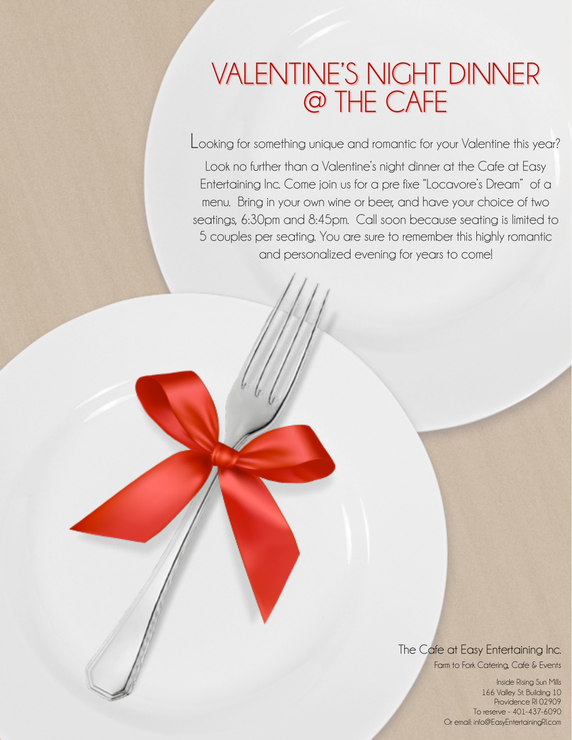# VALENTINE'S NIGHT DINNER @ THE CAFE

Looking for something unique and romantic for your Valentine this year?

Look no further than a Valentine's night dinner at the Cafe at Easy Entertaining Inc. Come join us for a pre fixe "Locavore's Dream" of a menu. Bring in your own wine or beer, and have your choice of two seatings, 6:30pm and 8:45pm. Call soon because seating is limited to 5 couples per seating. You are sure to remember this highly romantic and personalized evening for years to come!

> The Cafe at Easy Entertaining Inc. Farm to Fork Catering, Cafe & Events

> > Inside Rising Sun Mills 166 Valley St. Building 10 Providence RI 02909 To reserve - 401-437-6090 Or email: info@EasyEntertainingRI.com